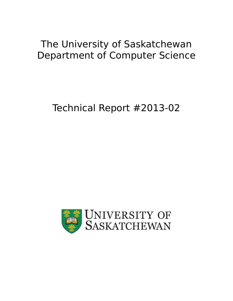## The University of Saskatchewan Department of Computer Science

# Technical Report #2013-02

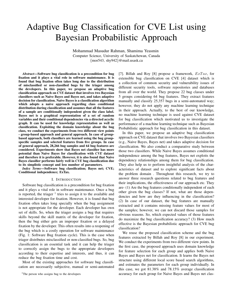### Adaptive Bug Classification for CVE List using Bayesian Probabilistic Approach

Mohammad Masudur Rahman, Shamima Yeasmin Computer Science, University of Saskatchewan, Canada {mor543, shy942}@mail.usask.ca

*Abstract*—Software bug classification is a precondition for bug fixation and it plays a vital role in software maintenance. It is found that bug fixation often takes long due to the distribution of misclassified or non-classified bugs by the triager among the developers. In this paper, we propose an adaptive bug classification approach on *CVE* dataset that involves two Bayesian classifiers such as Naive Bayes and Bayes net, and takes adaptive decision for classification. Naive Bayes is a classification algorithm which adopts a naive approach regarding class conditional distribution during classification and assumes that all the features of a sample are conditionally independent given the class label. Bayes net is a graphical representation of a set of random variables and their conditional dependencies via a directed acyclic graph. It can be used for knowledge representation as well as classification. Exploiting the domain knowledge about the bug class, we conduct the experiments from two different view points - group-based approach and general approach. In case of groupbased approach, both classifiers are learned using the bug groupspecific samples and selected features from five groups. In case of general approach, 28,266 bug samples and 64 bug features are considered. Experiments show that Bayes net classifier has more potential than Naive Bayes for classification with *CVE* dataset and therefore it is preferable. However, it is also found that Naive Bayes classifier performs fairly well in *CVE* bug classification due to its simplistic concept and less number of parameters.

*Index Terms*—Software bug classification; Bayes net; CVE; Conditional independence; ExTax.

#### I. INTRODUCTION

Software bug classification is a precondition for bug fixation and it plays a vital role in software maintenance. Once a bug is reported, the triager  $1$  tries to assign it to the available and interested developer for fixation. However, it is found that bug fixation often takes long specially when the bug assignment is not appropriate for the developer. Each developer has own set of skills. So, when the triager assigns a bug that requires skills beyond the skill matrix of the developer for fixation, then the bug either gets an improper fixation or a delayed fixation by the developer. This often results into a reopening of the bug which is a costly operation for software maintenance (Fig. 1: Software Bug fixation cycle). This is the case when triager distributes misclassified or non-classified bugs. So, bug classification is an essential task and it can help the triager to correctly assign the bugs to the appropriate developers according to their expertise and interests, and thus, it can reduce the bug fixation time and cost.

Most of the existing approaches for software bug classification are necessarily subjective, manual or semi-automated

<sup>1</sup>The person who assigns bug to the developers

[7]. Billah and Roy [8] propose a framework,  $ExTax$ , for extensible bug classification on CVE [4] dataset which is a collection of common security and vulnerability issues of different security tools, software repositories and databases from all over the world. They propose 22 bug classes under 5 groups considering 64 bug features. They extract features manually and classify 25,357 bugs in a semi-automated way; however, they do not apply any machine learning technique in their approach. Actually, to the best of our knowledge, no machine learning technique is used against CVE dataset for bug classification which motivated us to investigate the performance of a machine learning technique such as Bayesian Probabilistic approach for bug classification in this dataset.

In this paper, we propose an adaptive bug classification approach on CVE dataset that involves two Bayesian classifiers (e.g., Naive Bayes, Bayes net) and takes adaptive decision for classification. We also conduct a comparative study between those two classifiers. While Naive Bayes assumes conditional independence among the bug features, Bayes net exploits the dependency relationships among them for bug classification. They also help us to perform insightful analysis of the characteristics of dataset and to explore significant facts about the problem domain . Throughout this research, we try to answer three research questions related to bug features and their implications, the effectiveness of our approach etc. They are- (1) Are the bug features conditionally independent of each other given the bug classes? If not, what are those dependencies and how are they influencing in the classification? (2) In case of our dataset, the bug features are manually extracted and it contains missing feature values for most of the samples; however, we can not discard those samples for obvious reasons. So, which expected values of those features do maximize the bug classification accuracy? (3) How much effective is the Bayesian probabilistic approach for CVE bug classification?

We reuse the proposed classification scheme and the bug features extracted by Billah and Roy [8] in our experiment. We conduct the experiments from two different view points. In the first case, the proposed approach uses domain knowledge for feature selection for each group and applies both Naive Bayes and Bayes net for classification. It learns the Bayes net structure using different local score based search algorithms, and estimates the parameters for each group individually. In this case, we got 81.38% and 78.15% average classification accuracy for each group for Naive Bayes and Bayes net clas-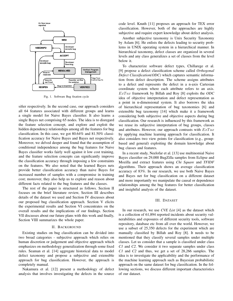

Fig. 1. Software Bug fixation cycle

sifier respectively. In the second case, our approach considers all 64 features associated with different groups and learns a single model for Naive Bayes classifier. It also learns a single Bayes net comprising 65 nodes. The idea is to disregard the feature selection concept, and explore and exploit the hidden dependency relationships among all the features for bug classification. In this case, we got 80.64% and 81.50% classification accuracy for Naive Bayes and Bayes net respectively. Moreover, we delved deeper and found that the assumption of conditional independence among the bug features for Naive Bayes classifier works fairly well against it low cost training, and the feature selection concepts can significantly improve the classification accuracy through imposing a few constraints on the features. We also noted that the learned Bayes nets provide better classification accuracy than naive Bayes for increased number of samples with a compromise in training cost; moreover, they also help us to explore and reason about different facts related to the bug features and the classes.

The rest of the paper is structured as follows. Section II focuses on the brief literature review, Section III describes details of the dataset we used and Section IV discusses about our proposed bug classification approach. Section V elicits the experimental results and Section VI concentrates on the overall results and the implications of our findings. Section VII discusses about our future plans with this work and finally, Section VIII summarizes the whole paper.

#### II. BACKGROUND

Existing studies on bug classification can be divided into two broad categories - subjective approach which relies on human discretion or judgement and objective approach which emphasizes on methodology generalization through some fixed rules. Seaman et al. [14] aggregate historical data to model defect taxonomy and propose a subjective and extensible approach for bug classification. However, the approach is completely manual.

Nakamura et al. [12] present a methodology of defect analysis that involves investigating the defects in the source

code level. Knuth [11] proposes an approach for TEX error classification. However, both of the approaches are highly subjective and require expert knowledge about defect analysis.

Another subjective taxonomy is Unix Security Taxonomy by Aslam [6]. He enlists the defects leading to security problems in UNIX operating system in a hierarchical manner. In hierarchical taxonomy, defect classes are organized in several levels and any class generalizes a set of classes from the level below it.

To characterize software defect types, Chillarege et al. [9] propose a defect classification scheme called *Orthogonal Defect Classification(ODC)* which captures semantic information from defect description. The scheme assigns attributes to a defect and represents the defect in a n-axis Cartesian coordinate system where each attribute refers to an axis. ExT ax framework by Billah and Roy [8] exploits the *ODC* idea of objective interpretation and defect representation as a point in n-dimensional system. It also borrows the idea of hierarchical representation of bug taxonomies [6] and extensible bug taxonomy [14] which make it a framework considering both subjective and objective aspects during bug classification. Our research is influenced by this framework as we reuse its subjective interpretation of bug groups, classes and attributes. However, our approach contrasts with  $ExTax$ by applying machine learning approach for classification. It also considers two view points for classification (e.g., groupbased and general) exploiting the domain knowledge about bug classes and features.

In a recent study, Neelofar et al. [13] use multinomial Naive Bayes classifier on 29,000 BugZilla samples from Eclipse and Mozilla and extract features using *Chi Square* and *TFIDF* algorithms. Their approach shows an average classification accuracy of 83%. In our research, we use both Naive Bayes and Bayes net for bug classification on a different dataset and more importantly we manipulate the causal or dependence relationships among the bug features for better classification and insightful analysis of the dataset.

#### III. DATASET

In our research, we use *CVE List* [4] as the dataset which is a collection of 61,894 reported incidents about security vulnerabilities and exposures of different security tools, software repository, database etc from all over the world. However, we use a subset of 25,350 defects for the experiment which are manually classified by Billah and Roy [8]. It needs to be mentioned that they classify several samples under multiple classes. Let us consider that a sample is classified under class *C1* and *C2*. We consider it two separate samples under class *C1* and *C2* and thus, we get a set of 28,266 samples. The idea is to investigate the applicability and the performance of the machine learning approach such as Bayesian probabilistic approach on the same dataset for bug classification. In the following sections, we discuss different important characteristics of our dataset.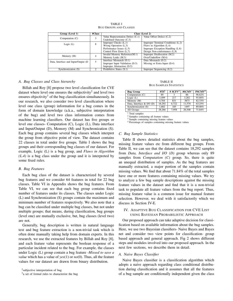| Group (Level 1)                      | #Class         | Class (Level 2)                   |                                    |
|--------------------------------------|----------------|-----------------------------------|------------------------------------|
|                                      | 3              | Value Representation Defect (C.1) | Value Offset Defect (C.2)          |
| Computation $(C)$                    |                | Undefined Outcome (C.3)           |                                    |
| Logic $(L)$                          | 8              | Improper Checks (L.1)             | Improper Terminal Conditions (L.2) |
|                                      |                | Wrong Operation (L.3)             | Flaws in Algorithm (L.4)           |
|                                      |                | Performance Issues (L.5)          | Improper Exception Handling (L.6)  |
|                                      |                | Control Flow Error (L.7)          | Design Non-conformance (L.8)       |
| Memory (M)                           | $\overline{4}$ | Invalid Memory Reference(M.1)     | Improper Deallocation (M.2)        |
|                                      |                | Memory Leaks (M.3)                | Over/Underflow (M.4)               |
| Data, Interface and Input/Output (D) |                | Interface Mismatch (D.1)          | Data Mismatch $(D.2)$              |
|                                      |                | Improper Input Validation (D.3)   | Missing or Extra Input (D.4)       |
|                                      |                | Improper Abstraction (D.5)        |                                    |
| Synchronization (S)                  |                | Prohibitive States (S.1)          | Improper Sequencing (S.2)          |

TABLE I BUG GROUPS AND CLASSES

#### *A. Bug Classes and Class hierarchy*

Billah and Roy [8] propose two level classification for *CVE* dataset where level one ensures the subjectivity<sup>2</sup> and level two ensures objectivity<sup>3</sup> of the bug classification simultaneously. In our research, we also consider two level classification where level one class (group) information for a bug comes in the form of domain knowledge (a.k.a., subjective interpretation of the bug) and level two class information comes from machine learning classifiers. Our dataset has five groups or level one classes- Computation (C), Logic (L), Data interface and Input/Output (D), Memory (M) and Synchronization (S). Each bug group contains several bug classes which interpret the group from objective point of view. The dataset contains 22 classes in total under five groups. Table I shows the bug groups and their corresponding bug classes of our dataset. For example, Logic (L) is a bug group, and *Flaws in Algorithm (L.4)* is a bug class under the group and it is interpreted by some fixed rules.

#### *B. Bug Features*

Each bug class of the dataset is characterized by several bug features and we consider 64 features in total for 22 bug classes. Table VI in Appendix shows the bug features. From Table VI, we can see that each bug group contains fixed number of features under its classes. The classes under Logic (L) and Synchronization (S) groups contain the maximum and minimum number of features respectively. We also note that a bug can be classified under multiple bug classes, but not under multiple groups; that means, during classification, bug groups (level one) are mutually exclusive, but, bug classes (level two) are not.

Generally, bug description is written in natural language text and bug feature extraction is a non-trivial task which is often done manually taking help from domain experts. In this research, we use the extracted features by Billah and Roy [8], and each feature value represents the boolean response of a particular incident related to the bug. For example, the classes under Logic (L) group contain a bug feature -*Missed to save a value* which has a value of *yes*(1) or *no*(0). Thus, all the feature values for our dataset are drawn from binary distribution.

<sup>2</sup>subjective interpretation of bug

<sup>3</sup>a set of formal rules to characterize the bug

TABLE II BUG SAMPLES STATISTICS

| <b>Bug Group</b>          | #TS <sup>1</sup> | # $SCFV2$ | #SCMV <sup>3</sup> | PSCMV <sup>4</sup> |
|---------------------------|------------------|-----------|--------------------|--------------------|
| Computation $(C)$         | 89               |           | 86                 | 96.62%             |
| Logic $(L)$               | 3.499            | 217       | 3.282              | 93.80%             |
| Memory (M)                | 4.704            | 831       | 3873               | 82.33%             |
| Data, Interface & I/O (D) | 18.292           | 6.722     | 11.570             | 63.25%             |
| Synchronization (S)       | 1.682            | 185       | 1497               | 89.00%             |
| All Groups                | 28.266           | 7.958     | 20,308             | 71.84%             |

<sup>1</sup> Total samples

<sup>2</sup> Samples containing all feature values

<sup>3</sup> Sample containing missing feature values

<sup>4</sup> Percentage of samples containing missing feature values

#### *C. Bug Sample Statistics*

Table II shows detailed statistics about the bug samples, missing feature values etc from different bug groups. From Table II, we can see that the dataset contains 18,292 samples from *Data, Interface and I/O (D)* group whereas only 89 samples from *Computation (C)* group. So, there is quite an unequal distribution of samples. As the bug features are manually extracted, a major portion of the samples contain missing values. We find that about 71.84% of the total samples have one or more features containing missing values. We try to analyze a few bug sample descriptions against the missing feature values in the dataset and find that it is a non-trivial task to populate all feature values from the bug report. Thus, missing feature value is a common issue for manual feature selection. However, we deal with it satisfactorily which we discuss in Section IV-E.

#### IV. ADAPTIVE BUG CLASSIFICATION FOR CVE LIST USING BAYESIAN PROBABILISTIC APPROACH

Our proposed approach can take adaptive decision for classification based on available information about the bug samples. Here, we use two Bayesian classifiers- Naive Bayes and Bayes net and consider two view points for classification- group based approach and general approach. Fig 2 shows different steps and modules involved into our proposed approach. In the next few sections, we describe them in detail.

#### *A. Naive Bayes Classifier*

Naive Bayes classifier is a classification algorithm which adopts a naive approach regarding class conditional distribution during classification and it assumes that all the features of a bug sample are conditionally independent given the class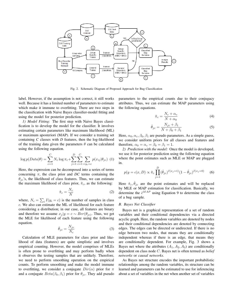

Fig. 2. Schematic Diagram of Proposed Approach for Bug Classification

label. However, if the assumption is not correct, it still works well. Because it has a limited number of parameters to estimate which make it immune to overfitting. There are two steps in the classification with Naive Bayes classifier-model fitting and using the model for posterior prediction.

*1) Model Fitting:* The first step with Naive Bayes classification is to develop the model for the classifier. It involves estimating certain parameters like maximum likelihood (ML) or maximum aposteriori (MAP). If we consider a training set containing *C* classes with *D* features, then the log-likelihood of the training data given the parameters  $\theta$  can be calculated using the following equation.

$$
\log p(Data|\theta) = \sum_{c=1}^{C} N_c \log \pi_c + \sum_{j=1}^{D} \sum_{c=1}^{C} \sum_{i:y_i=c} p(x_{ij}|\theta_{jc}) \tag{1}
$$

Here, the expression can be decomposed into a series of terms concerning  $\pi$ , the class prior and *DC* terms containing the  $\theta_{ic}$ 's, the likelihood of class features. Thus, we can estimate the maximum likelihood of class prior,  $\hat{\pi}_c$ , as the following:

$$
\hat{\pi}_c = \frac{N_c}{N} \tag{2}
$$

where,  $N_c = \sum_i I(y_i = c)$  is the number of samples in class c. We also can estimate the ML of likelihood for each feature considering a distribution; in our case, all features are binary and therefore we assume  $x_j | y = c \sim Ber(\theta_{jc})$ . Thus, we get the MLE for likelihood of each feature using the following equation.

$$
\hat{\theta}_{jc} = \frac{N_{jc}}{N_c} \tag{3}
$$

Calculation of MLE parameters for class prior and likelihood of data (features) are quite simplistic and involves empirical counting. However, the model comprises of MLEs is often prone to overfitting and may perform badly when it observes the testing samples that are unlikely. Therefore, we need to perform smoothing operation on the empirical counts. To perform smoothing and make the model immune to overfitting, we consider a conjugate  $Dir(\alpha)$  prior for  $\pi$ and a conjugate  $Beta(\beta_0, \beta_1)$  prior for  $\theta_{jc}$ . They add pseudo parameters to the empirical counts due to their conjugacy attributes. Thus, we can estimate the MAP parameters using the following equations.

$$
\hat{\pi}_c = \frac{N_c + \alpha_c}{N + \alpha_0} \tag{4}
$$

$$
\hat{\theta}_{jc} = \frac{N_{jc} + \beta_1}{N + \beta_0 + \beta_1} \tag{5}
$$

Here,  $\alpha_0$ ,  $\alpha_c$ ,  $\beta_0$ ,  $\beta_1$  are pseudo parameters. As a simple guess, we consider uniform priors for all classes and features and therefore,  $\alpha_0 = \alpha_c = \beta_0 = \beta_1 = 1$ .

*2) Prediction with the model:* Once the model is developed, we use it for posterior prediction using the following equation where the point estimates such as MLE or MAP are plugged in.

$$
p(y = c|x, D) \propto \hat{\pi}_c \prod_{j=1}^{D} (\hat{\theta}_{jc})^{I(x_j=1)} (1 - \hat{\theta}_{jc})^{I(x_j=0)}
$$
 (6)

Here  $\hat{\pi}_c, \hat{\theta}_{jc}$  are the point estimates and will be replaced by MLE or MAP estimation for classification. Basically, we determine the  $\hat{c}^{MAP}$  using Equation 9 to determine the class of a bug sample.

#### *B. Bayes Net Classifier*

Bayes net is a graphical representation of a set of random variables and their conditional dependencies via a directed acyclic graph. Here, the random variables are denoted by nodes and their conditional dependencies are denoted by connecting edges. The edges can be directed or undirected. If there is no edge between two nodes, that means they are conditionally independent whereas if there is an edge, that means they are conditionally dependent. For example, Fig. 3 shows a Bayes net where the attributes  $(A_1, A_2, A_3)$  are conditionally dependent on class node C. Bayes net is often termed as *belief networks* or *causal networks*.

As Bayes net structure encodes the important probabilistic relationships among the random variables, its structure can be learned and parameters can be estimated to use for inferencing about a set of variables in the net when another set of variables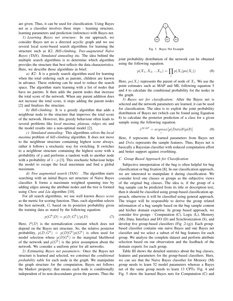are given. Thus, it can be used for classification. Using Bayes net as a classifier involves three steps - learning structure, learning parameters and prediction (inference) with Bayes net.

*1) Learning Bayes net structure:* In our approach, we consider Bayes net as a directed acyclic graph and we use several local score-based search algorithms for learning the structure such as *K2, Hill-climbing, Tree-augmented Naive Bayes (TAN), Simulated annealing* etc. The idea behind the multiple search algorithms is to determine which algorithm provides the structure that best reflects the data characteristics. Here, we describe those algorithms in brief.

*a) K2:* It is a greedy search algorithm used for learning when the total ordering such as parents, children are known in advance. These ordering can be used to reduce the search space. The algorithm starts learning with a list of nodes that have no parents. It then adds the parent nodes that increase the total score of the network. When any parent addition does not increase the total score, it stops adding the parent nodes [2] and finalizes the structure.

*b) Hill-climbing:* It is a greedy algorithm that adds a neighbour node to the structure that improves the total score of the network. However, this greedy behaviour often leads to several problems like *local maxima, plateau, ridges* etc and the model results into a non-optimal model [2].

*c) Simulated annealing:* This algorithms solves the *local maxima* problem of *hill-climbing* algorithm. It does not move to the neighbour structure containing highest score always, rather it follows a stochastic way for switching. It switches to a neighbour structure containing the highest score with a probability of  $p$  and performs a random walk to another node with a probability of  $1-p$  [3]. This stochastic behaviour helps the model to escape the local maximum and find a global maximum.

*d) Tree augmented search (TAN):* . The algorithm starts searching with an initial Bayes net structure of Naive Bayes classifier. It forms a maximum weighted spanning tree by adding edges among the attribute nodes and the tree is formed using *Chow and Liu* algorithm [10].

For all search algorithms, we use well known *Bayes score* as the metric for scoring function. Thus, each algorithm selects the best network, G, based on its posterior probability given the training data as stated by the following equation.

$$
p(G^k|D) = p(D, G^k)/p(D) \tag{7}
$$

Here,  $P(D)$  is the normalization constant which does not depend on the Bayes net structure. So, the relative posterior probability,  $p(D, G^k) = p(D|G^k)p(G^k)$  is often used for model selection where  $p(D|G^k)$  is the marginal likelihood of the network and  $p(G<sup>k</sup>)$  is the prior assumption about the network. We consider a uniform prior for all networks.

*2) Estimating Bayes net parameters:* Once the Bayes net structure is learned and selected, we construct the *conditional probability table* for each node in the graph. We manipulate the graph structure for the computation. Bayes net follows the Markov property; that means each node is conditionally independent of its non-descendants given the parents. Thus the



Fig. 3. Bayes Net Example

joint probability distribution of the network can be obtained using the following equation.

$$
p(X_1, X_2, ... X_n) = \prod_i p(X_i | pa(X_i))
$$
 (8)

Here,  $pa(X_i)$  represents the parent of node of  $X_i$ . We use the point estimates such as MAP and ML following equation 5 and 4 to calculate the conditional probability for the nodes in the graph.

*3) Bayes net for classification:* After the Bayes net is selected and the network parameters are learned, it can be used for classification. The idea is to exploit the joint probability distribution of Bayes net (which can be found using Equation 8) to calculate the posterior prediction of a class for a given sample using the following equation.

$$
\hat{c}^{MAP} = \underset{c}{argmax} [p(Data|\theta)p(\theta)] \tag{9}
$$

Here,  $\theta$  represents the learned parameters from Bayes net and Data represents the sample features. Thus, Bayes net is basically a Bayesian classifier with reduced computation effort and better support against overfitting.

#### *C. Group Based Approach for Classification*

Subjective interpretation of the bug is often helpful for bug classification or bug fixation [8]. In our classification approach, we are interested to manipulate it during classification. We consider level one classes or groups as the subjective views of the original bug classes. The idea is, if the group of a bug sample can be predicted from its title or description text, then it should be classified using group-based classification approach, otherwise it will be classified using general approach. The triager will be responsible to derive the group related information of a bug sample based on the bug sample content and his/her domain expertise. In group based approach, we consider five groups - Computation (C), Logic (L), Memory (M), Data, Interface and I/O (D) and Synchronization (S), and develop five group-based classifiers (Fig  $.2-(g)$ ). Each groupbased classifier contains one naive Bayes and one Bayes net classifier and we select a subset of 64 bug features for each group. We analyze the complete dataset and perform attribute selection based on our observation and the feedback of the domain experts for each group.

Table III shows the detailed statistics about the bug classes, features and parameters for the group-based classifiers. Here, we can see that the Naive Bayes classifier for Memory (M) group needs to learn 52 model parameters whereas a Bayes net of the same group needs to learn 13 CPTs. Fig. 4 and Fig. 5 show the learned Bayes nets for Computation (C) and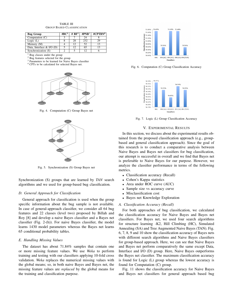| <b>Bug Group</b>             | #BC <sup>1</sup> | # $BF^2$ | # $PNR3$ | #CPTBN <sup>4</sup> |
|------------------------------|------------------|----------|----------|---------------------|
| Computation $(C)$            |                  |          | 24       |                     |
| Logic $(L)$                  |                  | 28       | 232      | 29                  |
| Memory (M)                   |                  |          | 52       | ר ו                 |
| Data, Interface $\&$ I/O (D) |                  |          |          |                     |
| Synchronization (S)          |                  |          |          |                     |

TABLE III GROUP BASED CLASSIFICATION

<sup>1</sup> Bug classes under the group

<sup>2</sup> Bug features selected for the group

<sup>3</sup> Parameters to be learned for Naive Bayes classifier

<sup>4</sup> CPTs to be calculated for selected Bayes net.



Fig. 4. Computation (C) Group Bayes net



Fig. 5. Synchronization (S) Group Bayes net

Synchronization (S) groups that are learned by *TAN* search algorithms and we used for group-based bug classification.

#### *D. General Approach for Classification*

General approach for classification is used when the group specific information about the bug sample is not available. In case of general-approach classifier, we consider all 64 bug features and 22 classes (level two) proposed by Billah and Roy [8] and develop a naive Bayes classifier and a Bayes net classifier (Fig. 2-(h)). For naive Bayes classifier, the model learns 1430 model parameters whereas the Bayes net learns 65 conditional probability tables.

#### *E. Handling Missing Values*

The dataset has about 71.84% samples that contain one or more missing feature values. We use *Weka* to perform training and testing with our classifiers applying 10-fold cross validation. *Weka* replaces the numerical missing values with the global means; so, in both naive Bayes and Bayes net, the missing feature values are *replaced* by the global means for the training and classification purpose.



Fig. 6. Computation (C) Group Classification Accuracy



Fig. 7. Logic (L) Group Classification Accuracy

#### V. EXPERIMENTAL RESULTS

In this section, we discuss about the experimental results obtained from the proposed classification approach (e.g., groupbased and general classification approach). Since the goal of this research is to conduct a comparative analysis between Naive Bayes and Bayes net classifiers for bug classification, our attempt is successful in overall and we find that Bayes net is preferable to Naive Bayes for our purpose. However, we analyze the classifier performance in terms of the following metrics.

- Classification accuracy (Recall)
- Cohen's Kappa statistics
- Area under ROC curve (AUC)
- Sample size vs accuracy curve
- Misclassification cost
- Bayes net Knowledge Exploration

#### *A. Classification Accuracy (Recall)*

For both approaches of bug classification, we calculated the classification accuracy for Naive Bayes and Bayes net classifiers. For Bayes net, we used four search algorithms for structure learning -K2, Hill Climbing (HC), Simulated Annealing (SA) and Tree Augmented Naive Bayes (TAN). Fig. 6, 7, 8, 9 and 10 show the classification accuracy of Bayes nets with different search algorithms and Naive Bayes classifiers for group-based approach. Here, we can see that Naive Bayes and Bayes net perform comparatively the same except Data, Interface and I/O (D) group. Here, Naive Bayes outperforms the Bayes net classifier. The maximum classification accuracy is found for Logic (L) group whereas the lowest accuracy is found for Computation (C) group.

Fig. 11 shows the classification accuracy for Naive Bayes and Bayes net classifiers for general approach based bug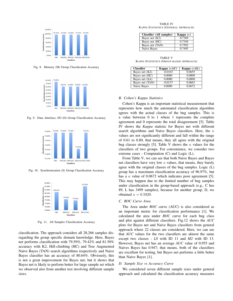

Fig. 8. Memory (M) Group Classification Accuracy



Fig. 9. Data, Interface, I/O (D) Group Classification Accuracy



Fig. 10. Synchronization (S) Group Classification Accuracy



Fig. 11. All Samples Classification Accuracy

classification. The approach considers all 28,266 samples disregarding the group specific domain knowledge. Here, Bayes net performs classification with 79.59%, 79.42% and 81.50% accuracy with K2, Hill-climbing (HC) and Tree Augmented Naive Bayes (TAN) search algorithms respectively and Naive Bayes classifier has an accuracy of 80.64%. Obviously, this is not a great improvement for Bayes net, but it shows that Bayes net is likely to perform better for large sample set which we observed also from another test involving different sample sizes.

TABLE IV KAPPA STATISTICS (GENERAL APPROACH)

| <b>Classifier</b> (All samples) | Kappa $(\kappa)$ |
|---------------------------------|------------------|
| Bayes net $(K2)$                | 0.7369           |
| Bayes net (HC)                  | 0.7349           |
| Bayes net (TAN)                 | 0.7592           |
| Naive Bayes                     | 0.7495           |

TABLE V KAPPA STATISTICS (GROUP-BASED APPROACH)

| <b>Classifier</b> | Kappa $(\kappa)(C)$ | Kappa $(\kappa)(L)$ |
|-------------------|---------------------|---------------------|
| Bayes net $(K2)$  | $-0.0103$           | 0.0655              |
| Bayes net (HC)    | 0.0000              | 0.0000              |
| Bayes net (SA)    | 0.0000              | 0.0000              |
| Bayes net (TAN)   | $-0.0137$           | 0.0663              |
| Naive Bayes       | 0.0000              | 0.0672              |

#### *B. Cohen's Kappa Statistics*

Cohen's Kappa is an important statistical measurement that represents how much the automated classification algorithm agrees with the actual classes of the bug samples. This is a value between 0 to 1 where 1 represents the complete agreement and 0 represents the total disagreement [5]. Table IV shows the *Kappa* statistic for Bayes net with different search algorithms and Naive Bayes classifiers. Here, the  $\kappa$ values are not significantly different and fall within the range of 0.61 to 0.80, that means, they all agree with the original bug classes strongly [5]. Table V shows the  $\kappa$  values for the classifiers of two groups. For convenience, we consider two extreme cases - Computation (C) and Logic (L).

From Table V, we can see that both Naive Bayes and Bayes net classifiers have very low  $\kappa$  values, that means, they barely agree with the original classes of the bug samples. Logic (L) group has a maximum classification accuracy of 96.97%, but has a  $\kappa$  value of 0.0672 which indicates poor agreement [5]. This may happen due to the limited number of bug samples under classification in the group-based approach (e.g., C has 89, L has 3499 samples), because for another group, D, we obtained  $\kappa = 0.5929$ .

#### *C. ROC Curve Area*

The Area under *ROC* curve (AUC) is also considered as an important metric for classification performance [1]. We calculated the area under *ROC* curve for each bug class and plot against different classifiers. Fig.12 shows the *AUC* plots for Bayes net and Naive Bayes classifiers from general approach where 22 classes are considered. Here, we can see that *AUC* values for the two classifiers are almost the same except two classes - *L8* with ID 11 and *M2* with ID 13. However, Bayes net has an average *AUC* value of 0.955 and Naives Bayes has 0.947; that means, both of the classifiers are excellent for testing, but Bayes net performs a little better than Naive Bayes [1].

#### *D. Sample Size vs Accuracy Curve*

We considered seven different sample sizes under general approach and calculated the classification accuracy measures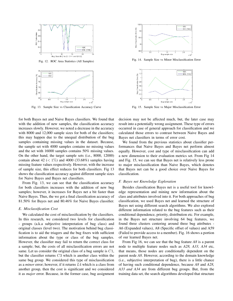

Fig. 13. Sample Size vs Classification Accuracy Curve

for both Bayes net and Naive Bayes classifiers. We found that with the addition of new samples, the classification accuracy increases slowly. However, we noted a decrease in the accuracy with 8000 and 12,000 sample sizes for both of the classifiers; this may happen due to the unequal distribution of the bug samples containing missing values in the dataset. Because, the sample set with 4000 samples contains no missing values and the set with 16000 samples contains 50% missing values. On the other hand, the target sample sets (i.e., 8000, 12000) contain about 42 ( $\lt 1\%$ ) and 4000 (33.68%) samples having missing feature values respectively. However, with the increase of sample size, this effect reduces for both classifiers. Fig 13 shows the classification accuracy against different sample sizes for Naive Bayes and Bayes net classifiers.

From Fig. 13, we can see that the classification accuracy for both classifiers increases with the addition of new bug samples; however, it increases for Bayes net a bit faster than Naive Bayes. Thus, the we got a final classification accuracy of 81.50% for Bayes net and 80.46% for Naive Bayes classifier.

#### *E. Misclassification Cost*

We calculated the cost of misclassification by the classifiers. In this research, we considered two levels for classification - groups (a.k.a subjective interpretation of bug class) and original classes (level two). The motivation behind bug classification is to aid the triagers and the bug fixers with sufficient information about the type or class of the bug samples. However, the classifier may fail to return the correct class for a sample; but, the costs of all misclassification errors are not same. Let us consider the original class of a bug sample is  $C1$ , but the classifier returns C3 which is another class within the same bug group. We considered this type of misclassification as a *minor* error; however, if it returns L4 which is a class from another group, then the cost is significant and we considered it as *major* error. Because, in the former case, bug assignment



Fig. 14. Sample Size vs Minor Misclassification Error



Fig. 15. Sample Size vs Major Misclassification Error

decision may not be affected much, but, the later case may result into a potentially wrong assignment. These type of errors occurred in case of general approach for classification and we calculated those errors to contrast between Naive Bayes and Bayes net classifiers in terms of error cost.

We found from the previous statistics about classifier performances that Naive Bayes and Bayes net perform almost equally. However, cost and type of misclassification can add a new dimension to their evaluation metrics set. From Fig 14 and Fig. 15, we can see that Bayes net is relatively less prone to major misclassification than Naive Bayes, which denotes that Bayes net can be a good choice over Naive Bayes for classification.

#### *F. Bayes net Knowledge Exploration*

Besides classification Bayes net is a useful tool for knowledge representation and mining new information about the class and attributes involved into it. For both approaches of bug classification, we used Bayes net and learned the structure of Bayes net using different search algorithms. We also explored different information related to the bug features such as their conditional dependence, priority, distribution etc. For example, in the Bayes net structure involving 64 bug features, we found three clusters centering around three bug attributes - A6 (Expanded values), A8 (Specific offset of values) and A59 (Failed to provide access to a member). Fig. 16 shows a portion of our learned Bayes net.

From Fig 16, we can see that the bug feature *A8* is a parent node to multiple feature nodes such as *A28, A33, A34* etc, that means, those nodes are conditionally dependent on the parent node *A8*. However, according to the domain knowledge (i.e., subjective interpretation of bug), there is a little chance of having such conditional dependence, because *A8* and *A28, A33 and A34* are from different bug groups. But, from the training data set, the search algorithms developed that structure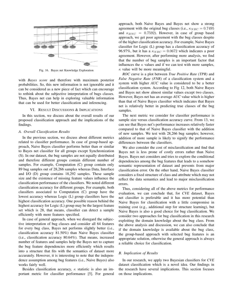

Fig. 16. Bayes net Knowledge Exploration

with *Bayes score* and therefore with maximum posterior probabilities. So, this new information is not ignorable and it can be considered as a new piece of fact which can encourage to rethink about the subjective interpretation of bugs classes. Thus, Bayes net can help in exploring valuable information that can be used for better classification and inferencing.

#### VI. RESULT DISCUSSIONS & IMPLICATIONS

In this section, we discuss about the overall results of our proposed classification approach and the implications of the findings.

#### *A. Overall Classification Results*

In the previous section, we discuss about different metrics related to classifier performance. In case of group-based approach, Naive Bayes classifier performs better than or similar to Bayes net classifier for all groups except Synchronization (S). In our dataset, the bug samples are not equally distributed and therefore different groups contain different number of samples. For example, Computation (C) group contain only 89 bug samples out of 28,266 samples whereas Data, Interface and I/O (D) group contains 18,292 samples. These sample size and the existence of missing feature values influence the classification performance of the classifiers. We noted different classification accuracy for different groups. For example, both classifiers associated to Computation (C) group have the lowest accuracy whereas Logic (L) group classifiers have the highest classification accuracy. One possible reason behind the highest accuracy for Logic (L) group may be the largest feature set which is 28, that means, classifier can detect a sample efficiently with more features specified.

In case of general approach, when we disregard the subjective interpretation of bug classes and consider all 64 features for every bug class, Bayes net performs slightly better (i.e., classification accuracy 81.50%) than Naive Bayes classifier (i.e., classification accuracy 80.64%). That means, increased number of features and samples help the Bayes net to capture the bug feature dependencies more efficiently which results into a structure that fits with the semantics of dataset more accurately. However, it is interesting to note that the independence assumption among bug features (i.e., Naive Bayes) also works fairly well.

Besides classification accuracy,  $\kappa$  statistic is also an important metric for classifier performance [5]. For general approach, both Naive Bayes and Bayes net show a strong agreement with the original bug classes (i.e.,  $\kappa_{NBC} = 0.7495$ ) and  $\kappa_{BNC}$  = 0.7592). However, in case of group based approach, we get poor agreement with the bug classes despite of the higher classification accuracy. For example, Naive Bayes classifier for Logic (L) group has a classification accuracy of 96.97%, but it has a  $\kappa_{NBC} = 0.0672$  which indicates a poor agreement. However, after performing more analysis, we find that the number of bug samples is an important factor that influences the  $\kappa$  values and if we can test with more samples,  $\kappa$  value will be more meaningful.

*ROC* curve is a plot between *True Positive Rate (TPR)* and *False Negative Rate (FNR)* of a classification system and a system with higher *AUC* value is considered to be a better classification system. According to Fig 12, both Naive Bayes and Bayes net show almost similar values except two classes. However, Bayes net has an average *AUC* value which is higher than that of Naive Bayes classifier which indicates that Bayes net is relatively better in predicting true classes of the bug samples.

The next metric we consider for classifier performance is sample size versus classification accuracy curve. From 13, we can see that Bayes net's performance increases relatively faster compared to that of Naive Bayes classifier with the addition of new samples. We test with 28,266 bug samples; however, addition of more sample is likely to signify the performance differences between the classifiers.

We also consider the cost of misclassification and find that Bayes net is less prone of costly errors rather than Naive Bayes. Bayes net considers and tries to explore the conditional dependencies among the bug features that leads to a somehow semantic representation of dataset and prevents from major classification error. On the other hand, Naive Bayes classifier considers a fixed structure of class and attribute which may not reflect the data semantics and lead to major misclassification errors.

Thus, considering all of the above metrics for performance evaluation, we can conclude that, for *CVE* dataset, Bayes net classifier is preferable and it has more potential than Naive Bayes for classification with a little compromise in training cost (e.g., additional step for structure learning), but Naive Bayes is also a good choice for bug classification. We consider two approaches for bug classification in this research exploiting the domain knowledge about the bug class. From the above analysis and discussion, we can also conclude that if the domain knowledge is available about the bug class, the group-based approach with selected bug features is an appropriate solution, otherwise the general approach is always a reliable choice for classification.

#### *B. Implication of Results*

In our research, we apply two Bayesian classifiers for *CVE* dataset classification which is a novel idea. Our findings in the research have several implications. This section focuses on those implications.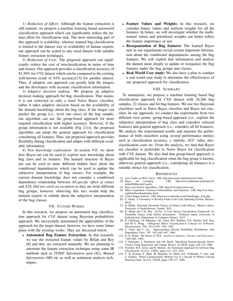*1) Reduction of Effort:* Although the feature extraction is still manual, we propose a machine learning based *automated* classification approach which can significantly reduce the human effort for classification task. The most interesting part of this approach is scalability; whereas manual bug classification is limited to the dataset size or availability of human experts, our approach can be scaled to any sized dataset with suitable feature extraction techniques.

*2) Reduction of Cost:* The proposed approach can significantly reduce the cost of misclassification in terms of time and money. Our approach provides a classification accuracy of 81.50% for *CVE* dataset which can be compared to the existing well-known result of 83% accuracy[13] for another dataset. Thus, if adopted, our approach can greatly help the triagers and the developers with accurate classification information.

*3) Adaptive decision making:* We propose an adaptive decision making approach for bug classification. That means, it is not restricted to only a fixed Naive Bayes classifier, rather it takes adaptive decision based on the availability of the domain knowledge about the bug class. If the triager can predict the group (i.e., level one class) of the bug sample, our algorithm can use the group-based approach for more targeted classification with higher accuracy. However, if the group information is not available (Fig 2-(i)), the proposed algorithm can adopt the general approach for classification considering all features. Thus, our proposed approach provides flexibility during classification and adapts with different available information.

*4) New knowledge exploration:* In section V-F, we show how Bayes net can be used to explore new knowledge about bug class and its features. The learned structure of Bayes net can be used to mine different hidden facts about the conditional dependencies which can be used to update the subjective interpretation of bug classes. For example, the current domain knowledge does not consider a conditional dependence relationship between *A8,specific offset of values* and *A28, Did not catch an exception* as they are from different bug groups; however, observing this fact would help the domain experts to rethink about the subjective interpretation of the bug classes.

#### VII. FUTURE WORKS

In this research, we propose an automated bug classification approach for *CVE* dataset using Bayesian probabilistic approach. We successfully determined the applicability of the approach for the target dataset; however, we have some future plans with the existing works. They are discussed below.

• Automated Bug Feature Extraction: In this research, we use the extracted feature values by Billah and Roy [8] and they are extracted manually. We are planning to automate the feature extraction technique using some IR methods such as *TFIDF, Information gain (IG), Mutual Information (MI)* etc as well as sentiment analysis techniques.

- Feature Values and Weights: In this research, we consider binary values and uniform weights for all the features. In future, we will investigate whether the multinomial values and prioritized weights can better reflect the feature importance or not.
- Reorganization of Bug features: The learned Bayes nets in our experiments reveal certain important information about the conditional dependencies among the bug features. We will exploit that information and analyze the dataset more deeply to update or reorganize the bug features under the bug groups and classes.
- Real World User study: We also have a plan to conduct a real world user study to determine the effectiveness of our proposed approach for classification.

#### VIII. SUMMARY

To summarize, we propose a machine learning based bug classification approach for *CVE* dataset with 28,266 bug samples, 22 classes and 64 bug features. We use two Bayesian classifiers such as Naive Bayes classifier and Bayes net classifier. In our approach, we conduct the experiments from two different view points -group based approach (i.e., exploits the subjective interpretation of bug class and considers selected features) and general approach (i.e., considers all 64 features). We analyze the experimental results and measure the performance of both classifiers using several performance metrics such as classification accuracy,  $\kappa$  statistic,  $AUC$  value, misclassification costs etc. From the analysis, we find that Bayes net classifier is preferable to Naive Bayes for classification with *CVE* dataset. We also find that group-based approach is applicable for bug classification when the bug group is known, otherwise general approach (i.e., considering all features) is a suitable choice for classification.

#### **REFERENCES**

- 
- [1] Area Under an ROC Curve. URL http://gim.unmc.edu/dxtests/roc3.htm. http://www.slideshare.net/gladysCJ/ slidesPhDthesisGCastillo.
- [3] Bayes net Search Algorithms. URL http://www.bayesnets.com/.
- [4] Mitre Corporation: Common Vulnerabilities and Exposures. URL http://cve.mitre. org/data/downloads/index.html.
- [5] Cohen Kappa Statistic. URL http://www.statstodo.com/CohenKappa Exp.php.
- [6] T. Aslam. A Taxonomy of Security Faults in the Unix Operating System. Master's thesis.
- [7] K. Billah. Detecting Dissimilar Classes of Source Code Defects. Master's thesis, University of Saskatchewan, Canada, 2013.
- [8] K. Billah and C.K. Roy. ExTax: A User Driven Classification Framework for Extensible Source Code Defect Taxonomies. Technical report, University of Saskatchewan, Department of Computer Science, 2012.
- [9] R. Chillarege, I.S. Bhandari, J.K. Chaar, M.J. Halliday, D.S. Moebus, B.K. Ray, and M.-Y. Wong. Orthogonal Defect Classification-A Concept for In-Process Measurements. *TSE*, 18(11):943 –956, 1992.
- [10] C. Chow and C. Liu. Approximating Discrete Probability Distributions with Dependence Trees. *TIT*, 14(3):462–467, 1968.
- [11] D. E. Knuth. The Errors of TEX. *Journal of Software: Practice and Experience*, 7:607–685, 1989.
- [12] T. Nakamura, L. Hochstein, and V.R. Basili. Identifying Domain-Specific Defect Classes Using Inspections and Change History. In *ISESE*, pages 346–355, 2006.
- [13] Neelofar, M.Y. Javed, and H. Mohsin. An Automated Approach for Software Bug Classification. In *Proc. CISIS)*, pages 414 –419, 2012.
- [14] C. B. Seaman, F. Shull, M. Regardie, D. Elbert, R.L. Feldmann, Y. Guo, and S. Godfrey. Defect Categorization: Making Use of a Decade of Widely Varying Historical Data. In *Proc. ESEM*, pages 149–157, 2008.